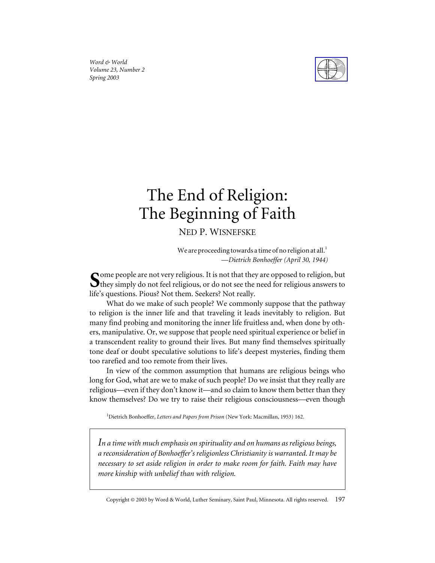*Word & World Volume 23, Number 2 Spring 2003*



# The End of Religion: The Beginning of Faith

## NED P. WISNEFSKE

We are proceeding towards a time of no religion at all.<sup>1</sup> —*Dietrich Bonhoeffer (April 30, 1944)*

ome people are not very religious. It is not that they are opposed to religion, but  $\bigcup$  they simply do not feel religious, or do not see the need for religious answers to life's questions. Pious? Not them. Seekers? Not really.

What do we make of such people? We commonly suppose that the pathway to religion is the inner life and that traveling it leads inevitably to religion. But many find probing and monitoring the inner life fruitless and, when done by others, manipulative. Or, we suppose that people need spiritual experience or belief in a transcendent reality to ground their lives. But many find themselves spiritually tone deaf or doubt speculative solutions to life's deepest mysteries, finding them too rarefied and too remote from their lives.

In view of the common assumption that humans are religious beings who long for God, what are we to make of such people? Do we insist that they really are religious—even if they don't know it—and so claim to know them better than they know themselves? Do we try to raise their religious consciousness—even though

<sup>1</sup>Dietrich Bonhoeffer, *Letters and Papers from Prison* (New York: Macmillan, 1953) 162.

*In a time with much emphasis on spirituality and on humans as religious beings, a reconsideration of Bonhoeffer's religionless Christianity is warranted. It may be necessary to set aside religion in order to make room for faith. Faith may have more kinship with unbelief than with religion.*

Copyright © 2003 by Word & World, Luther Seminary, Saint Paul, Minnesota. All rights reserved. 197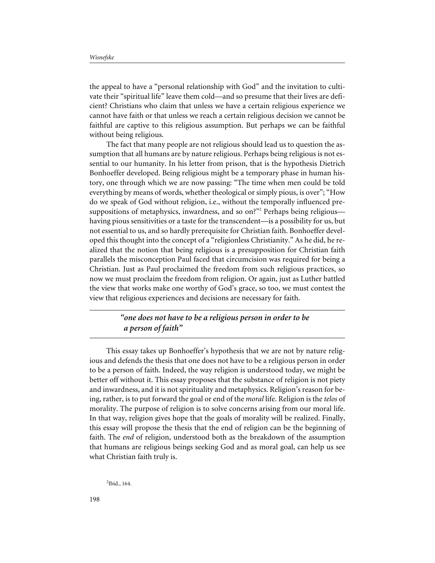the appeal to have a "personal relationship with God" and the invitation to cultivate their "spiritual life" leave them cold—and so presume that their lives are deficient? Christians who claim that unless we have a certain religious experience we cannot have faith or that unless we reach a certain religious decision we cannot be faithful are captive to this religious assumption. But perhaps we can be faithful without being religious.

The fact that many people are not religious should lead us to question the assumption that all humans are by nature religious. Perhaps being religious is not essential to our humanity. In his letter from prison, that is the hypothesis Dietrich Bonhoeffer developed. Being religious might be a temporary phase in human history, one through which we are now passing: "The time when men could be told everything by means of words, whether theological or simply pious, is over"; "How do we speak of God without religion, i.e., without the temporally influenced presuppositions of metaphysics, inwardness, and so on?"<sup>2</sup> Perhaps being religious having pious sensitivities or a taste for the transcendent—is a possibility for us, but not essential to us, and so hardly prerequisite for Christian faith. Bonhoeffer developed this thought into the concept of a "religionless Christianity." As he did, he realized that the notion that being religious is a presupposition for Christian faith parallels the misconception Paul faced that circumcision was required for being a Christian. Just as Paul proclaimed the freedom from such religious practices, so now we must proclaim the freedom from religion. Or again, just as Luther battled the view that works make one worthy of God's grace, so too, we must contest the view that religious experiences and decisions are necessary for faith.

## *"one does not have to be a religious person in order to be a person of faith"*

This essay takes up Bonhoeffer's hypothesis that we are not by nature religious and defends the thesis that one does not have to be a religious person in order to be a person of faith. Indeed, the way religion is understood today, we might be better off without it. This essay proposes that the substance of religion is not piety and inwardness, and it is not spirituality and metaphysics. Religion's reason for being, rather, is to put forward the goal or end of the *moral* life. Religion is the *telos* of morality. The purpose of religion is to solve concerns arising from our moral life. In that way, religion gives hope that the goals of morality will be realized. Finally, this essay will propose the thesis that the end of religion can be the beginning of faith. The *end* of religion, understood both as the breakdown of the assumption that humans are religious beings seeking God and as moral goal, can help us see what Christian faith truly is.

2 Ibid., 164.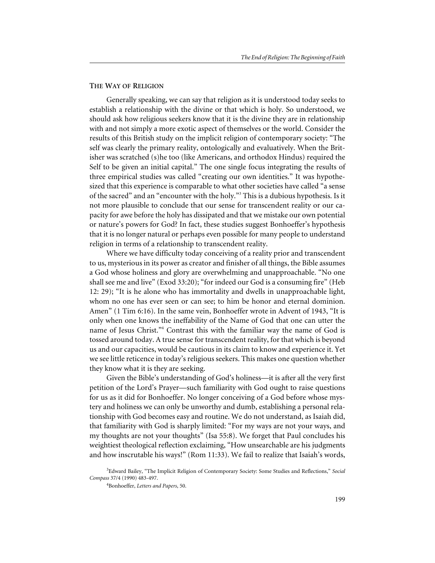#### **THE WAY OF RELIGION**

Generally speaking, we can say that religion as it is understood today seeks to establish a relationship with the divine or that which is holy. So understood, we should ask how religious seekers know that it is the divine they are in relationship with and not simply a more exotic aspect of themselves or the world. Consider the results of this British study on the implicit religion of contemporary society: "The self was clearly the primary reality, ontologically and evaluatively. When the Britisher was scratched (s)he too (like Americans, and orthodox Hindus) required the Self to be given an initial capital." The one single focus integrating the results of three empirical studies was called "creating our own identities." It was hypothesized that this experience is comparable to what other societies have called "a sense of the sacred" and an "encounter with the holy."3 This is a dubious hypothesis. Is it not more plausible to conclude that our sense for transcendent reality or our capacity for awe before the holy has dissipated and that we mistake our own potential or nature's powers for God? In fact, these studies suggest Bonhoeffer's hypothesis that it is no longer natural or perhaps even possible for many people to understand religion in terms of a relationship to transcendent reality.

Where we have difficulty today conceiving of a reality prior and transcendent to us, mysterious in its power as creator and finisher of all things, the Bible assumes a God whose holiness and glory are overwhelming and unapproachable. "No one shall see me and live" (Exod 33:20); "for indeed our God is a consuming fire" (Heb 12: 29); "It is he alone who has immortality and dwells in unapproachable light, whom no one has ever seen or can see; to him be honor and eternal dominion. Amen" (1 Tim 6:16). In the same vein, Bonhoeffer wrote in Advent of 1943, "It is only when one knows the ineffability of the Name of God that one can utter the name of Jesus Christ."<sup>4</sup> Contrast this with the familiar way the name of God is tossed around today. A true sense for transcendent reality, for that which is beyond us and our capacities, would be cautious in its claim to know and experience it. Yet we see little reticence in today's religious seekers. This makes one question whether they know what it is they are seeking.

Given the Bible's understanding of God's holiness—it is after all the very first petition of the Lord's Prayer—such familiarity with God ought to raise questions for us as it did for Bonhoeffer. No longer conceiving of a God before whose mystery and holiness we can only be unworthy and dumb, establishing a personal relationship with God becomes easy and routine. We do not understand, as Isaiah did, that familiarity with God is sharply limited: "For my ways are not your ways, and my thoughts are not your thoughts" (Isa 55:8). We forget that Paul concludes his weightiest theological reflection exclaiming, "How unsearchable are his judgments and how inscrutable his ways!" (Rom 11:33). We fail to realize that Isaiah's words,

<sup>3</sup> Edward Bailey, "The Implicit Religion of Contemporary Society: Some Studies and Reflections," *Social Compass* 37/4 (1990) 483-497.

<sup>4</sup> Bonhoeffer, *Letters and Papers*, 50.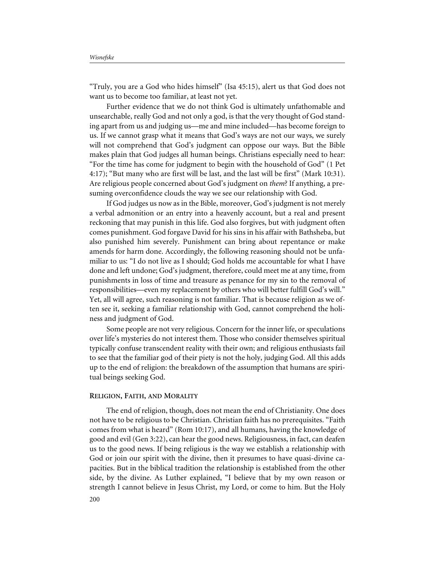"Truly, you are a God who hides himself" (Isa 45:15), alert us that God does not want us to become too familiar, at least not yet.

Further evidence that we do not think God is ultimately unfathomable and unsearchable, really God and not only a god, is that the very thought of God standing apart from us and judging us—me and mine included—has become foreign to us. If we cannot grasp what it means that God's ways are not our ways, we surely will not comprehend that God's judgment can oppose our ways. But the Bible makes plain that God judges all human beings. Christians especially need to hear: "For the time has come for judgment to begin with the household of God" (1 Pet 4:17); "But many who are first will be last, and the last will be first" (Mark 10:31). Are religious people concerned about God's judgment on *them*? If anything, a presuming overconfidence clouds the way we see our relationship with God.

If God judges us now as in the Bible, moreover, God's judgment is not merely a verbal admonition or an entry into a heavenly account, but a real and present reckoning that may punish in this life. God also forgives, but with judgment often comes punishment. God forgave David for his sins in his affair with Bathsheba, but also punished him severely. Punishment can bring about repentance or make amends for harm done. Accordingly, the following reasoning should not be unfamiliar to us: "I do not live as I should; God holds me accountable for what I have done and left undone; God's judgment, therefore, could meet me at any time, from punishments in loss of time and treasure as penance for my sin to the removal of responsibilities—even my replacement by others who will better fulfill God's will." Yet, all will agree, such reasoning is not familiar. That is because religion as we often see it, seeking a familiar relationship with God, cannot comprehend the holiness and judgment of God.

Some people are not very religious. Concern for the inner life, or speculations over life's mysteries do not interest them. Those who consider themselves spiritual typically confuse transcendent reality with their own; and religious enthusiasts fail to see that the familiar god of their piety is not the holy, judging God. All this adds up to the end of religion: the breakdown of the assumption that humans are spiritual beings seeking God.

#### **RELIGION, FAITH, AND MORALITY**

The end of religion, though, does not mean the end of Christianity. One does not have to be religious to be Christian. Christian faith has no prerequisites. "Faith comes from what is heard" (Rom 10:17), and all humans, having the knowledge of good and evil (Gen 3:22), can hear the good news. Religiousness, in fact, can deafen us to the good news. If being religious is the way we establish a relationship with God or join our spirit with the divine, then it presumes to have quasi-divine capacities. But in the biblical tradition the relationship is established from the other side, by the divine. As Luther explained, "I believe that by my own reason or strength I cannot believe in Jesus Christ, my Lord, or come to him. But the Holy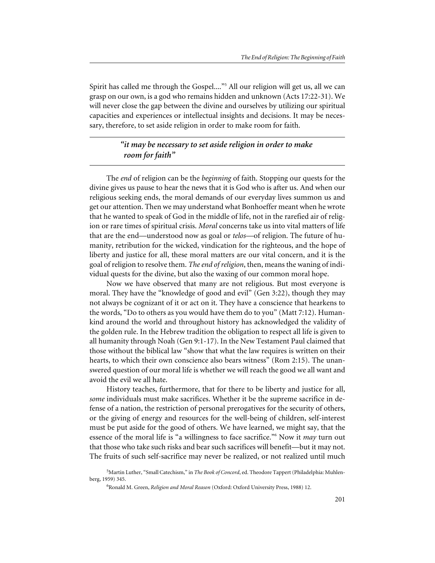Spirit has called me through the Gospel...."5 All our religion will get us, all we can grasp on our own, is a god who remains hidden and unknown (Acts 17:22-31). We will never close the gap between the divine and ourselves by utilizing our spiritual capacities and experiences or intellectual insights and decisions. It may be necessary, therefore, to set aside religion in order to make room for faith.

## *"it may be necessary to set aside religion in order to make room for faith"*

The *end* of religion can be the *beginning* of faith. Stopping our quests for the divine gives us pause to hear the news that it is God who is after us. And when our religious seeking ends, the moral demands of our everyday lives summon us and get our attention. Then we may understand what Bonhoeffer meant when he wrote that he wanted to speak of God in the middle of life, not in the rarefied air of religion or rare times of spiritual crisis. *Moral* concerns take us into vital matters of life that are the end—understood now as goal or *telos*—of religion. The future of humanity, retribution for the wicked, vindication for the righteous, and the hope of liberty and justice for all, these moral matters are our vital concern, and it is the goal of religion to resolve them. *The end of religion*, then, means the waning of individual quests for the divine, but also the waxing of our common moral hope.

Now we have observed that many are not religious. But most everyone is moral. They have the "knowledge of good and evil" (Gen 3:22), though they may not always be cognizant of it or act on it. They have a conscience that hearkens to the words, "Do to others as you would have them do to you" (Matt 7:12). Humankind around the world and throughout history has acknowledged the validity of the golden rule. In the Hebrew tradition the obligation to respect all life is given to all humanity through Noah (Gen 9:1-17). In the New Testament Paul claimed that those without the biblical law "show that what the law requires is written on their hearts, to which their own conscience also bears witness" (Rom 2:15). The unanswered question of our moral life is whether we will reach the good we all want and avoid the evil we all hate.

History teaches, furthermore, that for there to be liberty and justice for all, *some* individuals must make sacrifices. Whether it be the supreme sacrifice in defense of a nation, the restriction of personal prerogatives for the security of others, or the giving of energy and resources for the well-being of children, self-interest must be put aside for the good of others. We have learned, we might say, that the essence of the moral life is "a willingness to face sacrifice."6 Now it *may* turn out that those who take such risks and bear such sacrifices will benefit—but it may not. The fruits of such self-sacrifice may never be realized, or not realized until much

<sup>5</sup> Martin Luther, "Small Catechism," in *The Book of Concord*, ed. Theodore Tappert (Philadelphia: Muhlenberg, 1959) 345.

<sup>6</sup> Ronald M. Green, *Religion and Moral Reason* (Oxford: Oxford University Press, 1988) 12.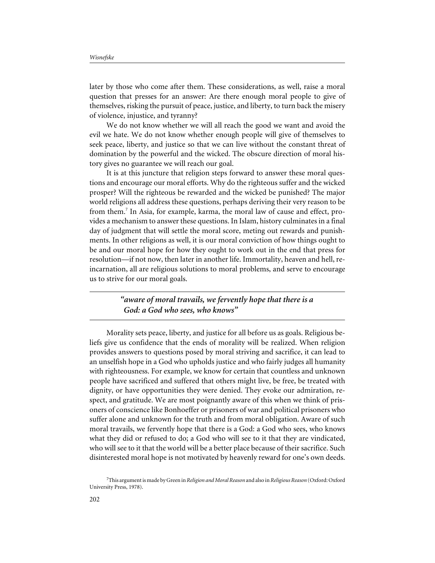later by those who come after them. These considerations, as well, raise a moral question that presses for an answer: Are there enough moral people to give of themselves, risking the pursuit of peace, justice, and liberty, to turn back the misery of violence, injustice, and tyranny?

We do not know whether we will all reach the good we want and avoid the evil we hate. We do not know whether enough people will give of themselves to seek peace, liberty, and justice so that we can live without the constant threat of domination by the powerful and the wicked. The obscure direction of moral history gives no guarantee we will reach our goal.

It is at this juncture that religion steps forward to answer these moral questions and encourage our moral efforts. Why do the righteous suffer and the wicked prosper? Will the righteous be rewarded and the wicked be punished? The major world religions all address these questions, perhaps deriving their very reason to be from them.<sup>7</sup> In Asia, for example, karma, the moral law of cause and effect, provides a mechanism to answer these questions. In Islam, history culminates in a final day of judgment that will settle the moral score, meting out rewards and punishments. In other religions as well, it is our moral conviction of how things ought to be and our moral hope for how they ought to work out in the end that press for resolution—if not now, then later in another life. Immortality, heaven and hell, reincarnation, all are religious solutions to moral problems, and serve to encourage us to strive for our moral goals.

> *"aware of moral travails, we fervently hope that there is a God: a God who sees, who knows"*

Morality sets peace, liberty, and justice for all before us as goals. Religious beliefs give us confidence that the ends of morality will be realized. When religion provides answers to questions posed by moral striving and sacrifice, it can lead to an unselfish hope in a God who upholds justice and who fairly judges all humanity with righteousness. For example, we know for certain that countless and unknown people have sacrificed and suffered that others might live, be free, be treated with dignity, or have opportunities they were denied. They evoke our admiration, respect, and gratitude. We are most poignantly aware of this when we think of prisoners of conscience like Bonhoeffer or prisoners of war and political prisoners who suffer alone and unknown for the truth and from moral obligation. Aware of such moral travails, we fervently hope that there is a God: a God who sees, who knows what they did or refused to do; a God who will see to it that they are vindicated, who will see to it that the world will be a better place because of their sacrifice. Such disinterested moral hope is not motivated by heavenly reward for one's own deeds.

<sup>7</sup> This argument is made by Green in*Religion and Moral Reason* and also in*Religious Reason* (Oxford: Oxford University Press, 1978).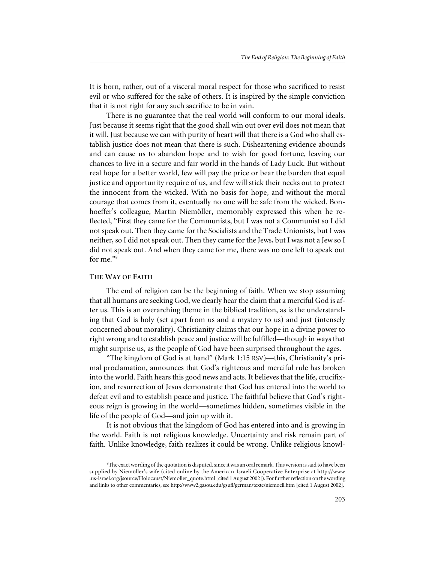It is born, rather, out of a visceral moral respect for those who sacrificed to resist evil or who suffered for the sake of others. It is inspired by the simple conviction that it is not right for any such sacrifice to be in vain.

There is no guarantee that the real world will conform to our moral ideals. Just because it seems right that the good shall win out over evil does not mean that it will. Just because we can with purity of heart will that there is a God who shall establish justice does not mean that there is such. Disheartening evidence abounds and can cause us to abandon hope and to wish for good fortune, leaving our chances to live in a secure and fair world in the hands of Lady Luck. But without real hope for a better world, few will pay the price or bear the burden that equal justice and opportunity require of us, and few will stick their necks out to protect the innocent from the wicked. With no basis for hope, and without the moral courage that comes from it, eventually no one will be safe from the wicked. Bonhoeffer's colleague, Martin Niemöller, memorably expressed this when he reflected, "First they came for the Communists, but I was not a Communist so I did not speak out. Then they came for the Socialists and the Trade Unionists, but I was neither, so I did not speak out. Then they came for the Jews, but I was not a Jew so I did not speak out. And when they came for me, there was no one left to speak out for me."<sup>8</sup>

### **THE WAY OF FAITH**

The end of religion can be the beginning of faith. When we stop assuming that all humans are seeking God, we clearly hear the claim that a merciful God is after us. This is an overarching theme in the biblical tradition, as is the understanding that God is holy (set apart from us and a mystery to us) and just (intensely concerned about morality). Christianity claims that our hope in a divine power to right wrong and to establish peace and justice will be fulfilled—though in ways that might surprise us, as the people of God have been surprised throughout the ages.

"The kingdom of God is at hand" (Mark 1:15 RSV)—this, Christianity's primal proclamation, announces that God's righteous and merciful rule has broken into the world. Faith hears this good news and acts. It believes that the life, crucifixion, and resurrection of Jesus demonstrate that God has entered into the world to defeat evil and to establish peace and justice. The faithful believe that God's righteous reign is growing in the world—sometimes hidden, sometimes visible in the life of the people of God—and join up with it.

It is not obvious that the kingdom of God has entered into and is growing in the world. Faith is not religious knowledge. Uncertainty and risk remain part of faith. Unlike knowledge, faith realizes it could be wrong. Unlike religious knowl-

<sup>&</sup>lt;sup>8</sup>The exact wording of the quotation is disputed, since it was an oral remark. This version is said to have been supplied by Niemöller's wife (cited online by the American-Israeli Cooperative Enterprise at http://www .us-israel.org/jsource/Holocaust/Niemoller\_quote.html[cited 1 August 2002]). For further reflection on the wording and links to other commentaries, see http://www2.gasou.edu/gsufl/german/texte/niemoell.htm [cited 1 August 2002].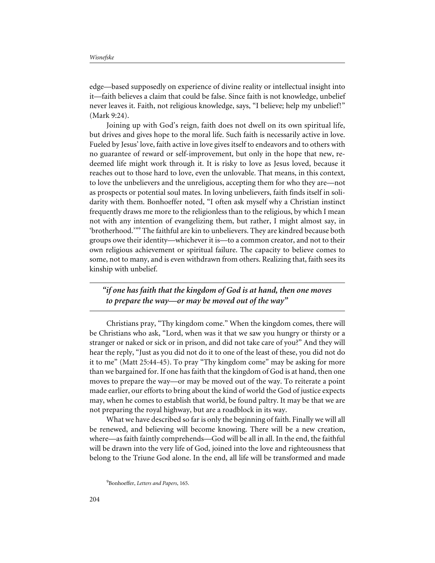edge—based supposedly on experience of divine reality or intellectual insight into it—faith believes a claim that could be false. Since faith is not knowledge, unbelief never leaves it. Faith, not religious knowledge, says, "I believe; help my unbelief!" (Mark 9:24).

Joining up with God's reign, faith does not dwell on its own spiritual life, but drives and gives hope to the moral life. Such faith is necessarily active in love. Fueled by Jesus' love, faith active in love gives itself to endeavors and to others with no guarantee of reward or self-improvement, but only in the hope that new, redeemed life might work through it. It is risky to love as Jesus loved, because it reaches out to those hard to love, even the unlovable. That means, in this context, to love the unbelievers and the unreligious, accepting them for who they are—not as prospects or potential soul mates. In loving unbelievers, faith finds itself in solidarity with them. Bonhoeffer noted, "I often ask myself why a Christian instinct frequently draws me more to the religionless than to the religious, by which I mean not with any intention of evangelizing them, but rather, I might almost say, in 'brotherhood.'"9 The faithful are kin to unbelievers. They are kindred because both groups owe their identity—whichever it is—to a common creator, and not to their own religious achievement or spiritual failure. The capacity to believe comes to some, not to many, and is even withdrawn from others. Realizing that, faith sees its kinship with unbelief.

*"if one has faith that the kingdom of God is at hand, then one moves to prepare the way—or may be moved out of the way"*

Christians pray, "Thy kingdom come." When the kingdom comes, there will be Christians who ask, "Lord, when was it that we saw you hungry or thirsty or a stranger or naked or sick or in prison, and did not take care of you?" And they will hear the reply, "Just as you did not do it to one of the least of these, you did not do it to me" (Matt 25:44-45). To pray "Thy kingdom come" may be asking for more than we bargained for. If one has faith that the kingdom of God is at hand, then one moves to prepare the way—or may be moved out of the way. To reiterate a point made earlier, our efforts to bring about the kind of world the God of justice expects may, when he comes to establish that world, be found paltry. It may be that we are not preparing the royal highway, but are a roadblock in its way.

What we have described so far is only the beginning of faith. Finally we will all be renewed, and believing will become knowing. There will be a new creation, where—as faith faintly comprehends—God will be all in all. In the end, the faithful will be drawn into the very life of God, joined into the love and righteousness that belong to the Triune God alone. In the end, all life will be transformed and made

<sup>9</sup> Bonhoeffer, *Letters and Papers*, 165.